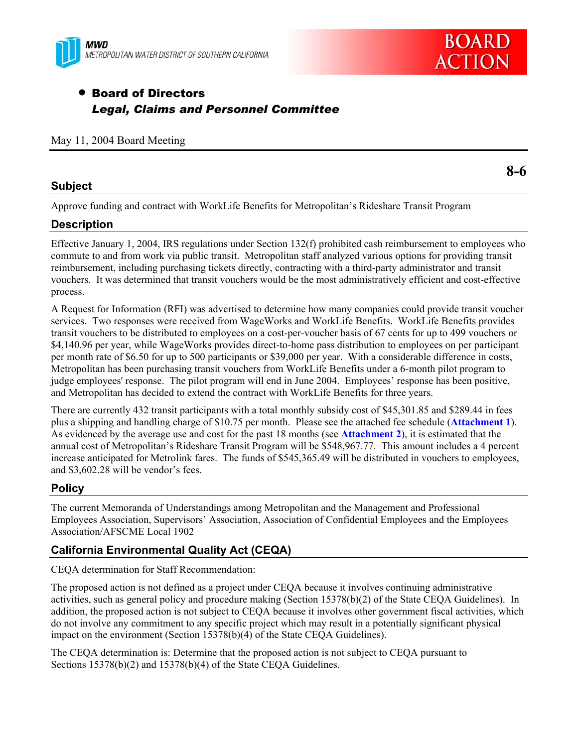



# • Board of Directors *Legal, Claims and Personnel Committee*

|  |  |  |  | May 11, 2004 Board Meeting |
|--|--|--|--|----------------------------|
|--|--|--|--|----------------------------|

#### **Subject**

Approve funding and contract with WorkLife Benefits for Metropolitan's Rideshare Transit Program

#### **Description**

Effective January 1, 2004, IRS regulations under Section 132(f) prohibited cash reimbursement to employees who commute to and from work via public transit. Metropolitan staff analyzed various options for providing transit reimbursement, including purchasing tickets directly, contracting with a third-party administrator and transit vouchers. It was determined that transit vouchers would be the most administratively efficient and cost-effective process.

A Request for Information (RFI) was advertised to determine how many companies could provide transit voucher services. Two responses were received from WageWorks and WorkLife Benefits. WorkLife Benefits provides transit vouchers to be distributed to employees on a cost-per-voucher basis of 67 cents for up to 499 vouchers or \$4,140.96 per year, while WageWorks provides direct-to-home pass distribution to employees on per participant per month rate of \$6.50 for up to 500 participants or \$39,000 per year. With a considerable difference in costs, Metropolitan has been purchasing transit vouchers from WorkLife Benefits under a 6-month pilot program to judge employees' response. The pilot program will end in June 2004. Employees' response has been positive, and Metropolitan has decided to extend the contract with WorkLife Benefits for three years.

There are currently 432 transit participants with a total monthly subsidy cost of \$45,301.85 and \$289.44 in fees plus a shipping and handling charge of \$10.75 per month. Please see the attached fee schedule (**Attachment 1**). As evidenced by the average use and cost for the past 18 months (see **Attachment 2**), it is estimated that the annual cost of Metropolitan's Rideshare Transit Program will be \$548,967.77. This amount includes a 4 percent increase anticipated for Metrolink fares. The funds of \$545,365.49 will be distributed in vouchers to employees, and \$3,602.28 will be vendor's fees.

### **Policy**

The current Memoranda of Understandings among Metropolitan and the Management and Professional Employees Association, Supervisors' Association, Association of Confidential Employees and the Employees Association/AFSCME Local 1902

### **California Environmental Quality Act (CEQA)**

CEQA determination for Staff Recommendation:

The proposed action is not defined as a project under CEQA because it involves continuing administrative activities, such as general policy and procedure making (Section 15378(b)(2) of the State CEQA Guidelines). In addition, the proposed action is not subject to CEQA because it involves other government fiscal activities, which do not involve any commitment to any specific project which may result in a potentially significant physical impact on the environment (Section 15378(b)(4) of the State CEQA Guidelines).

The CEQA determination is: Determine that the proposed action is not subject to CEQA pursuant to Sections 15378(b)(2) and 15378(b)(4) of the State CEQA Guidelines.

**8-6**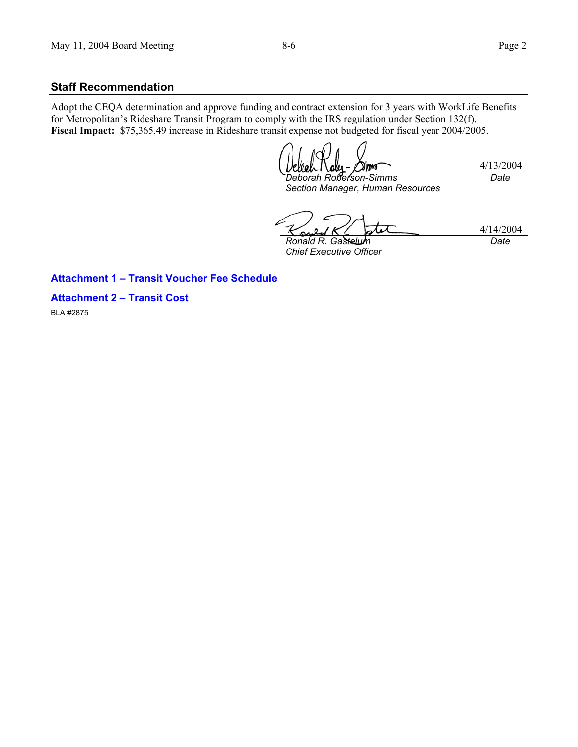#### **Staff Recommendation**

Adopt the CEQA determination and approve funding and contract extension for 3 years with WorkLife Benefits for Metropolitan's Rideshare Transit Program to comply with the IRS regulation under Section 132(f). **Fiscal Impact:** \$75,365.49 increase in Rideshare transit expense not budgeted for fiscal year 2004/2005.

4/13/2004 *Deborah Roberson-Simms Date* 

*Section Manager, Human Resources* 

4/14/2004 *Ronald R. Gastelum* 

*Chief Executive Officer* 

*Date* 

#### **Attachment 1 – Transit Voucher Fee Schedule**

**Attachment 2 – Transit Cost** 

BLA #2875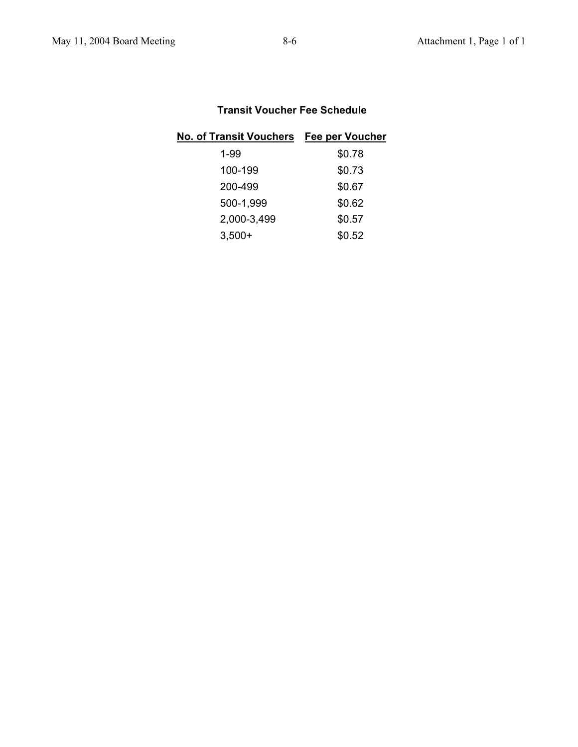# **Transit Voucher Fee Schedule**

| No. of Transit Vouchers Fee per Voucher |        |
|-----------------------------------------|--------|
| $1 - 99$                                | \$0.78 |
| 100-199                                 | \$0.73 |
| 200-499                                 | \$0.67 |
| 500-1,999                               | \$0.62 |
| 2,000-3,499                             | \$0.57 |
| $3,500+$                                | \$0.52 |